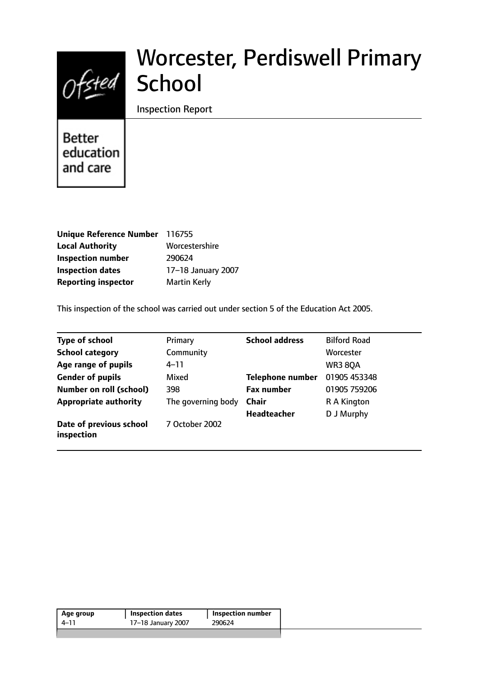

# Worcester, Perdiswell Primary **School**

Inspection Report

**Better** education and care

| Unique Reference Number 116755 |                     |
|--------------------------------|---------------------|
| <b>Local Authority</b>         | Worcestershire      |
| <b>Inspection number</b>       | 290624              |
| <b>Inspection dates</b>        | 17-18 January 2007  |
| <b>Reporting inspector</b>     | <b>Martin Kerly</b> |

This inspection of the school was carried out under section 5 of the Education Act 2005.

| <b>Type of school</b>                 | Primary            | <b>School address</b>   | <b>Bilford Road</b> |
|---------------------------------------|--------------------|-------------------------|---------------------|
| <b>School category</b>                | Community          |                         | Worcester           |
| Age range of pupils                   | 4–11               |                         | <b>WR3 80A</b>      |
| <b>Gender of pupils</b>               | Mixed              | <b>Telephone number</b> | 01905 453348        |
| <b>Number on roll (school)</b>        | 398                | <b>Fax number</b>       | 01905 759206        |
| <b>Appropriate authority</b>          | The governing body | <b>Chair</b>            | R A Kington         |
|                                       |                    | <b>Headteacher</b>      | D J Murphy          |
| Date of previous school<br>inspection | 7 October 2002     |                         |                     |

| 17-18 January 2007<br>290624<br>4–11 | Age group | Inspection dates | Inspection number |  |
|--------------------------------------|-----------|------------------|-------------------|--|
|                                      |           |                  |                   |  |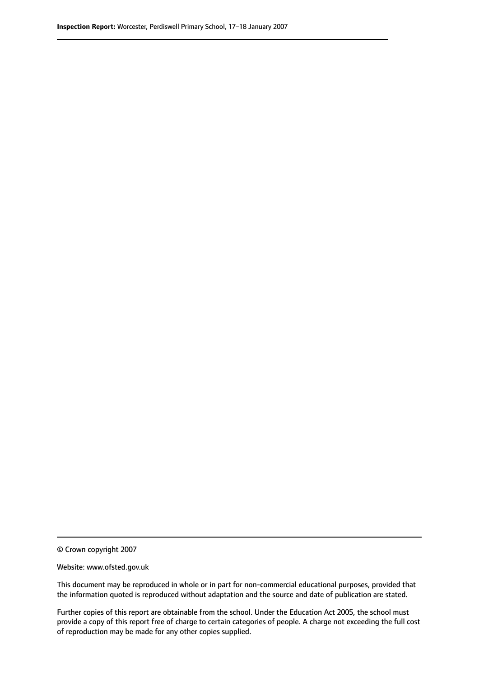© Crown copyright 2007

Website: www.ofsted.gov.uk

This document may be reproduced in whole or in part for non-commercial educational purposes, provided that the information quoted is reproduced without adaptation and the source and date of publication are stated.

Further copies of this report are obtainable from the school. Under the Education Act 2005, the school must provide a copy of this report free of charge to certain categories of people. A charge not exceeding the full cost of reproduction may be made for any other copies supplied.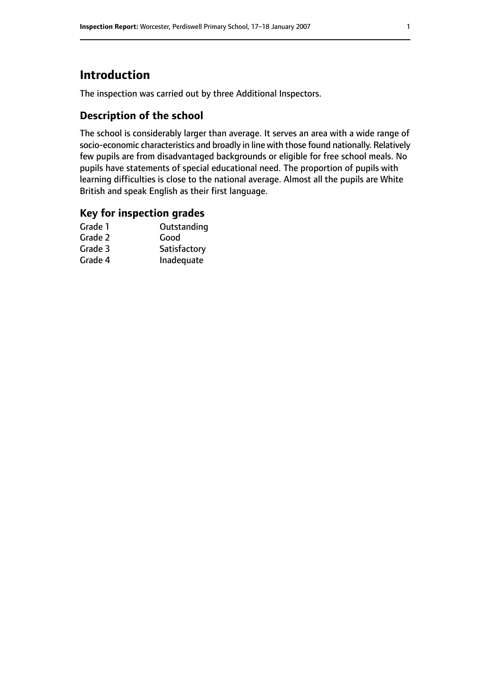# **Introduction**

The inspection was carried out by three Additional Inspectors.

## **Description of the school**

The school is considerably larger than average. It serves an area with a wide range of socio-economic characteristics and broadly in line with those found nationally. Relatively few pupils are from disadvantaged backgrounds or eligible for free school meals. No pupils have statements of special educational need. The proportion of pupils with learning difficulties is close to the national average. Almost all the pupils are White British and speak English as their first language.

#### **Key for inspection grades**

| Grade 1 | Outstanding  |
|---------|--------------|
| Grade 2 | Good         |
| Grade 3 | Satisfactory |
| Grade 4 | Inadequate   |
|         |              |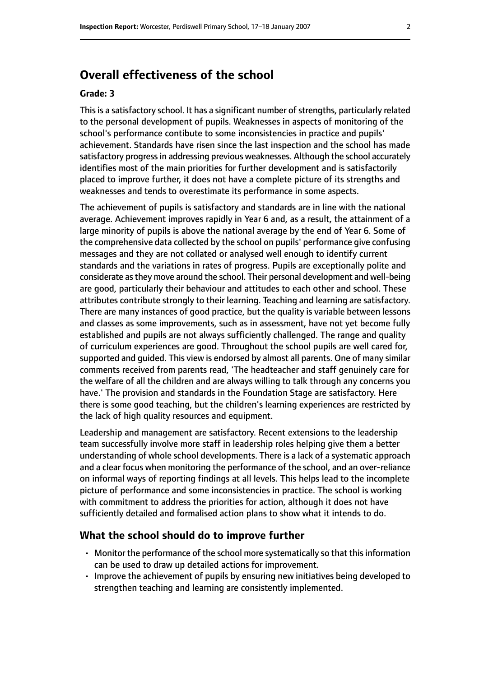## **Overall effectiveness of the school**

#### **Grade: 3**

This is a satisfactory school. It has a significant number of strengths, particularly related to the personal development of pupils. Weaknesses in aspects of monitoring of the school's performance contibute to some inconsistencies in practice and pupils' achievement. Standards have risen since the last inspection and the school has made satisfactory progress in addressing previous weaknesses. Although the school accurately identifies most of the main priorities for further development and is satisfactorily placed to improve further, it does not have a complete picture of its strengths and weaknesses and tends to overestimate its performance in some aspects.

The achievement of pupils is satisfactory and standards are in line with the national average. Achievement improves rapidly in Year 6 and, as a result, the attainment of a large minority of pupils is above the national average by the end of Year 6. Some of the comprehensive data collected by the school on pupils' performance give confusing messages and they are not collated or analysed well enough to identify current standards and the variations in rates of progress. Pupils are exceptionally polite and considerate asthey move around the school. Their personal development and well-being are good, particularly their behaviour and attitudes to each other and school. These attributes contribute strongly to their learning. Teaching and learning are satisfactory. There are many instances of good practice, but the quality is variable between lessons and classes as some improvements, such as in assessment, have not yet become fully established and pupils are not always sufficiently challenged. The range and quality of curriculum experiences are good. Throughout the school pupils are well cared for, supported and guided. This view is endorsed by almost all parents. One of many similar comments received from parents read, 'The headteacher and staff genuinely care for the welfare of all the children and are always willing to talk through any concerns you have.' The provision and standards in the Foundation Stage are satisfactory. Here there is some good teaching, but the children's learning experiences are restricted by the lack of high quality resources and equipment.

Leadership and management are satisfactory. Recent extensions to the leadership team successfully involve more staff in leadership roles helping give them a better understanding of whole school developments. There is a lack of a systematic approach and a clear focus when monitoring the performance of the school, and an over-reliance on informal ways of reporting findings at all levels. This helps lead to the incomplete picture of performance and some inconsistencies in practice. The school is working with commitment to address the priorities for action, although it does not have sufficiently detailed and formalised action plans to show what it intends to do.

#### **What the school should do to improve further**

- $\cdot$  Monitor the performance of the school more systematically so that this information can be used to draw up detailed actions for improvement.
- Improve the achievement of pupils by ensuring new initiatives being developed to strengthen teaching and learning are consistently implemented.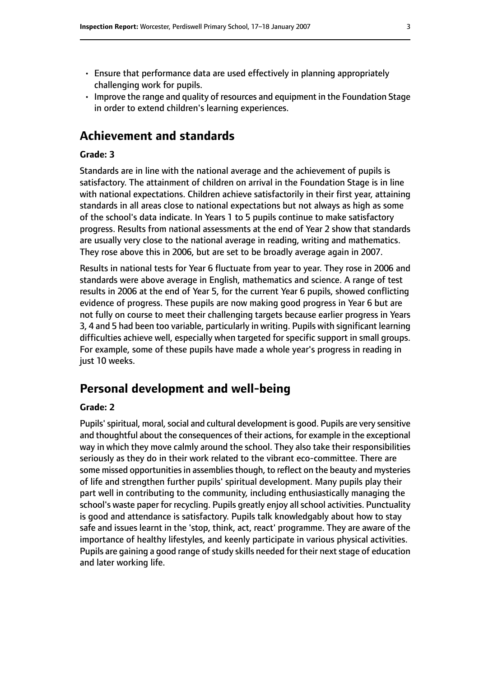- Ensure that performance data are used effectively in planning appropriately challenging work for pupils.
- Improve the range and quality of resources and equipment in the Foundation Stage in order to extend children's learning experiences.

## **Achievement and standards**

#### **Grade: 3**

Standards are in line with the national average and the achievement of pupils is satisfactory. The attainment of children on arrival in the Foundation Stage is in line with national expectations. Children achieve satisfactorily in their first year, attaining standards in all areas close to national expectations but not always as high as some of the school's data indicate. In Years 1 to 5 pupils continue to make satisfactory progress. Results from national assessments at the end of Year 2 show that standards are usually very close to the national average in reading, writing and mathematics. They rose above this in 2006, but are set to be broadly average again in 2007.

Results in national tests for Year 6 fluctuate from year to year. They rose in 2006 and standards were above average in English, mathematics and science. A range of test results in 2006 at the end of Year 5, for the current Year 6 pupils, showed conflicting evidence of progress. These pupils are now making good progress in Year 6 but are not fully on course to meet their challenging targets because earlier progress in Years 3, 4 and 5 had been too variable, particularly in writing. Pupils with significant learning difficulties achieve well, especially when targeted for specific support in small groups. For example, some of these pupils have made a whole year's progress in reading in just 10 weeks.

### **Personal development and well-being**

#### **Grade: 2**

Pupils' spiritual, moral, social and cultural development is good. Pupils are very sensitive and thoughtful about the consequences of their actions, for example in the exceptional way in which they move calmly around the school. They also take their responsibilities seriously as they do in their work related to the vibrant eco-committee. There are some missed opportunities in assemblies though, to reflect on the beauty and mysteries of life and strengthen further pupils' spiritual development. Many pupils play their part well in contributing to the community, including enthusiastically managing the school's waste paper for recycling. Pupils greatly enjoy all school activities. Punctuality is good and attendance is satisfactory. Pupils talk knowledgably about how to stay safe and issues learnt in the 'stop, think, act, react' programme. They are aware of the importance of healthy lifestyles, and keenly participate in various physical activities. Pupils are gaining a good range of study skills needed for their next stage of education and later working life.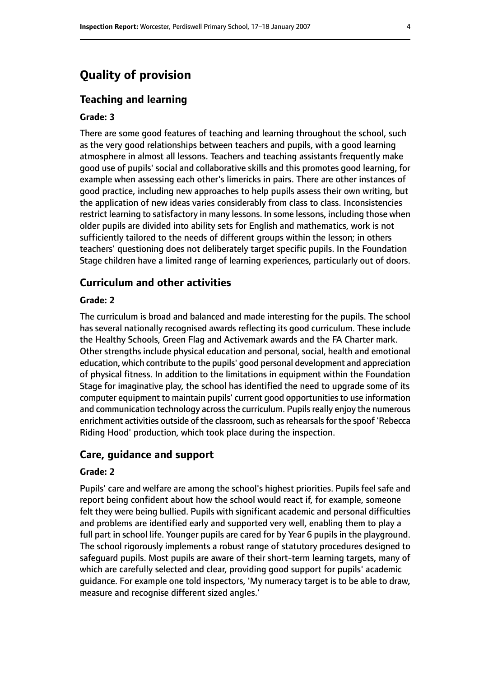## **Quality of provision**

#### **Teaching and learning**

#### **Grade: 3**

There are some good features of teaching and learning throughout the school, such as the very good relationships between teachers and pupils, with a good learning atmosphere in almost all lessons. Teachers and teaching assistants frequently make good use of pupils' social and collaborative skills and this promotes good learning, for example when assessing each other's limericks in pairs. There are other instances of good practice, including new approaches to help pupils assess their own writing, but the application of new ideas varies considerably from class to class. Inconsistencies restrict learning to satisfactory in many lessons. In some lessons, including those when older pupils are divided into ability sets for English and mathematics, work is not sufficiently tailored to the needs of different groups within the lesson; in others teachers' questioning does not deliberately target specific pupils. In the Foundation Stage children have a limited range of learning experiences, particularly out of doors.

#### **Curriculum and other activities**

#### **Grade: 2**

The curriculum is broad and balanced and made interesting for the pupils. The school has several nationally recognised awards reflecting its good curriculum. These include the Healthy Schools, Green Flag and Activemark awards and the FA Charter mark. Other strengths include physical education and personal, social, health and emotional education, which contribute to the pupils' good personal development and appreciation of physical fitness. In addition to the limitations in equipment within the Foundation Stage for imaginative play, the school has identified the need to upgrade some of its computer equipment to maintain pupils' current good opportunitiesto use information and communication technology across the curriculum. Pupils really enjoy the numerous enrichment activities outside of the classroom, such as rehearsals for the spoof 'Rebecca Riding Hood' production, which took place during the inspection.

#### **Care, guidance and support**

#### **Grade: 2**

Pupils' care and welfare are among the school's highest priorities. Pupils feel safe and report being confident about how the school would react if, for example, someone felt they were being bullied. Pupils with significant academic and personal difficulties and problems are identified early and supported very well, enabling them to play a full part in school life. Younger pupils are cared for by Year 6 pupils in the playground. The school rigorously implements a robust range of statutory procedures designed to safeguard pupils. Most pupils are aware of their short-term learning targets, many of which are carefully selected and clear, providing good support for pupils' academic guidance. For example one told inspectors, 'My numeracy target is to be able to draw, measure and recognise different sized angles.'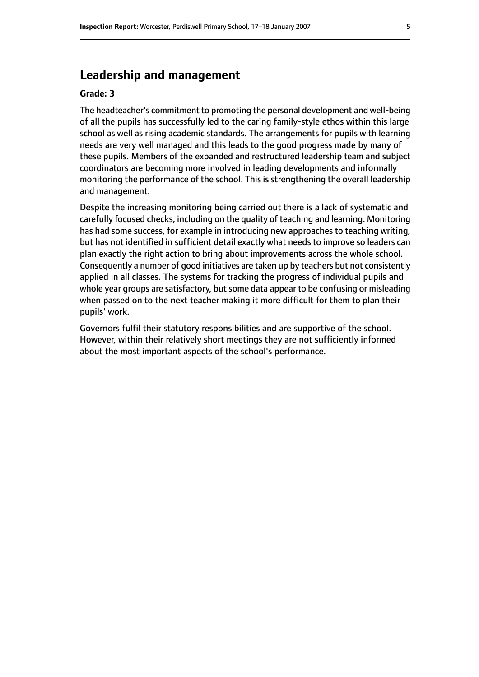## **Leadership and management**

#### **Grade: 3**

The headteacher's commitment to promoting the personal development and well-being of all the pupils has successfully led to the caring family-style ethos within this large school as well as rising academic standards. The arrangements for pupils with learning needs are very well managed and this leads to the good progress made by many of these pupils. Members of the expanded and restructured leadership team and subject coordinators are becoming more involved in leading developments and informally monitoring the performance of the school. This is strengthening the overall leadership and management.

Despite the increasing monitoring being carried out there is a lack of systematic and carefully focused checks, including on the quality of teaching and learning. Monitoring has had some success, for example in introducing new approaches to teaching writing, but has not identified in sufficient detail exactly what needs to improve so leaders can plan exactly the right action to bring about improvements across the whole school. Consequently a number of good initiatives are taken up by teachers but not consistently applied in all classes. The systems for tracking the progress of individual pupils and whole year groups are satisfactory, but some data appear to be confusing or misleading when passed on to the next teacher making it more difficult for them to plan their pupils' work.

Governors fulfil their statutory responsibilities and are supportive of the school. However, within their relatively short meetings they are not sufficiently informed about the most important aspects of the school's performance.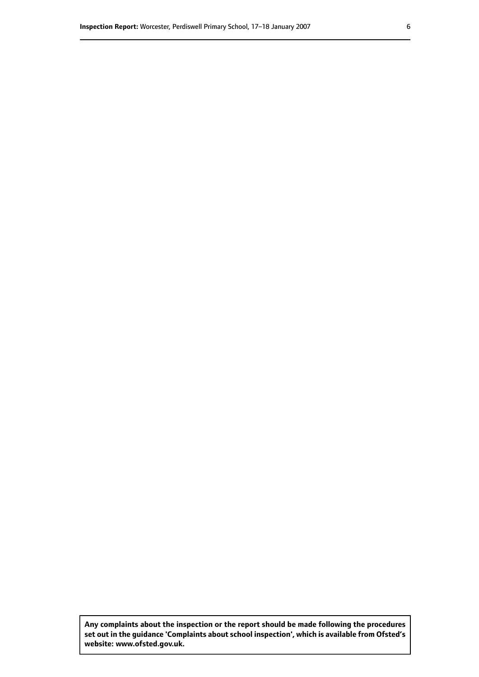**Any complaints about the inspection or the report should be made following the procedures set out inthe guidance 'Complaints about school inspection', whichis available from Ofsted's website: www.ofsted.gov.uk.**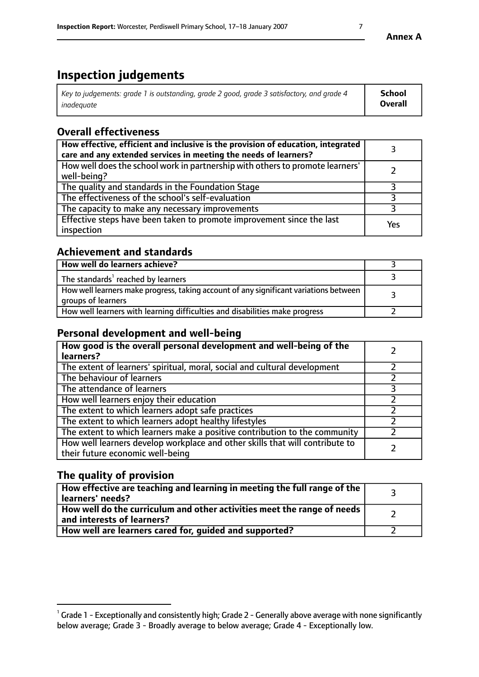# **Inspection judgements**

| Key to judgements: grade 1 is outstanding, grade 2 good, grade 3 satisfactory, and grade 4 | <b>School</b>  |
|--------------------------------------------------------------------------------------------|----------------|
| inadeauate                                                                                 | <b>Overall</b> |

## **Overall effectiveness**

| How effective, efficient and inclusive is the provision of education, integrated<br>care and any extended services in meeting the needs of learners? |     |
|------------------------------------------------------------------------------------------------------------------------------------------------------|-----|
| How well does the school work in partnership with others to promote learners'<br>well-being?                                                         |     |
| The quality and standards in the Foundation Stage                                                                                                    |     |
| The effectiveness of the school's self-evaluation                                                                                                    |     |
| The capacity to make any necessary improvements                                                                                                      |     |
| Effective steps have been taken to promote improvement since the last<br>inspection                                                                  | Yes |

## **Achievement and standards**

| How well do learners achieve?                                                                               |  |
|-------------------------------------------------------------------------------------------------------------|--|
| The standards <sup>1</sup> reached by learners                                                              |  |
| How well learners make progress, taking account of any significant variations between<br>groups of learners |  |
| How well learners with learning difficulties and disabilities make progress                                 |  |

## **Personal development and well-being**

| How good is the overall personal development and well-being of the<br>learners?                                  |  |
|------------------------------------------------------------------------------------------------------------------|--|
| The extent of learners' spiritual, moral, social and cultural development                                        |  |
| The behaviour of learners                                                                                        |  |
| The attendance of learners                                                                                       |  |
| How well learners enjoy their education                                                                          |  |
| The extent to which learners adopt safe practices                                                                |  |
| The extent to which learners adopt healthy lifestyles                                                            |  |
| The extent to which learners make a positive contribution to the community                                       |  |
| How well learners develop workplace and other skills that will contribute to<br>their future economic well-being |  |

## **The quality of provision**

| $\Box$ How effective are teaching and learning in meeting the full range of the $\Box$<br>  learners' needs?        |  |
|---------------------------------------------------------------------------------------------------------------------|--|
| $\mid$ How well do the curriculum and other activities meet the range of needs<br>$\mid$ and interests of learners? |  |
| How well are learners cared for, guided and supported?                                                              |  |

 $^1$  Grade 1 - Exceptionally and consistently high; Grade 2 - Generally above average with none significantly below average; Grade 3 - Broadly average to below average; Grade 4 - Exceptionally low.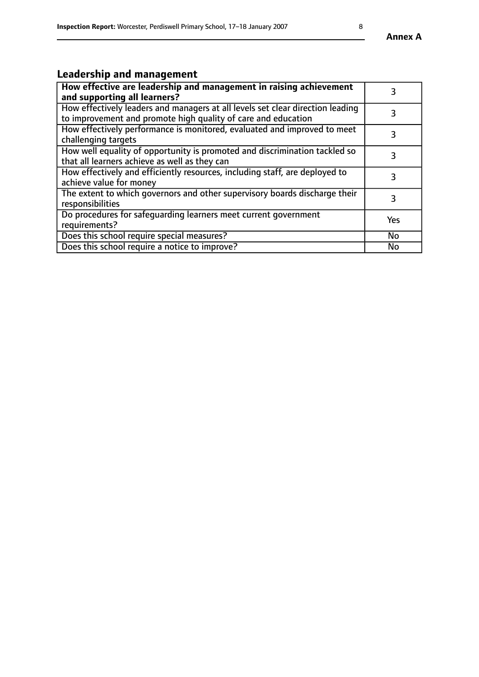# **Leadership and management**

| How effective are leadership and management in raising achievement<br>and supporting all learners?                                              |           |
|-------------------------------------------------------------------------------------------------------------------------------------------------|-----------|
| How effectively leaders and managers at all levels set clear direction leading<br>to improvement and promote high quality of care and education |           |
| How effectively performance is monitored, evaluated and improved to meet<br>challenging targets                                                 | 3         |
| How well equality of opportunity is promoted and discrimination tackled so<br>that all learners achieve as well as they can                     |           |
| How effectively and efficiently resources, including staff, are deployed to<br>achieve value for money                                          | 3         |
| The extent to which governors and other supervisory boards discharge their<br>responsibilities                                                  | 3         |
| Do procedures for safequarding learners meet current government<br>requirements?                                                                | Yes       |
| Does this school require special measures?                                                                                                      | No        |
| Does this school require a notice to improve?                                                                                                   | <b>No</b> |